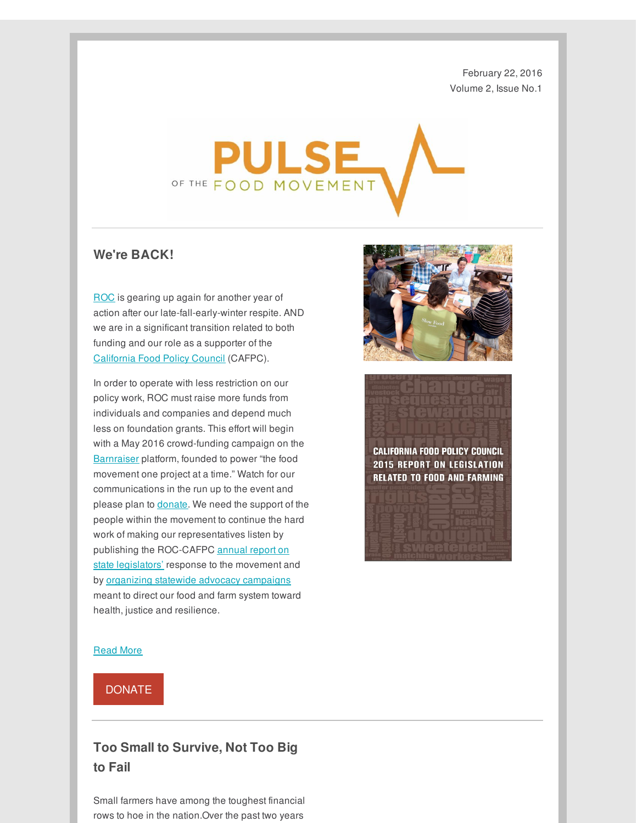February 22, 2016 Volume 2, Issue No.1



## **We're BACK!**

[ROC](http://r20.rs6.net/tn.jsp?f=001-Ax27J0RxRRDA0wY4SdEb2_vfKg6Vs9-B0609SyJ4pfltMAXHg5CiK_tUJZUJOjEYiPZl6SGAfzFunZWSi4nqiVquDL8FcZCojtjKzoXHttbfNYvF89jDE7lzMmc1D5fspgpzDNzUEh_1fztn3ZWXA==&c=&ch=) is gearing up again for another year of action after our late-fall-early-winter respite. AND we are in a significant transition related to both funding and our role as a supporter of the [California](http://r20.rs6.net/tn.jsp?f=001-Ax27J0RxRRDA0wY4SdEb2_vfKg6Vs9-B0609SyJ4pfltMAXHg5CiLb0YUNczqZx4AqOOsQ03pPeD9-GR-Yy5KjDvSWBLtYuAMLhWGQilKHMvVlFqOwUiJd05590eLcUlq7DznMZTgm9exbbL-6REb-qHO6gzTeFBwfCEwMZafATphCB7AhnLGeE3WtAaSm6wSCEpCoVDS2TOF5PF0so_A==&c=&ch=) Food Policy Council (CAFPC).

In order to operate with less restriction on our policy work, ROC must raise more funds from individuals and companies and depend much less on foundation grants. This effort will begin with a May 2016 crowd-funding campaign on the [Barnraiser](http://r20.rs6.net/tn.jsp?f=001-Ax27J0RxRRDA0wY4SdEb2_vfKg6Vs9-B0609SyJ4pfltMAXHg5CiHDYrp7aocdVwI0WhuIdrS4r2mcJcayjijwUGW4NorThU4JijyO8Qif-df29Z7KmeyKa5On6msSbarO-aQmzdjT4Lsa8kBgdwpl_6MfXKnAa&c=&ch=) platform, founded to power "the food movement one project at a time." Watch for our communications in the run up to the event and please plan to [donate](http://r20.rs6.net/tn.jsp?f=001-Ax27J0RxRRDA0wY4SdEb2_vfKg6Vs9-B0609SyJ4pfltMAXHg5CiFvh1ojQfwt_DO2O61Ln12u6zq2UVvJB5yNpa2NQUSIS_mswBU6XIGAjqbf9Hx99aDKcIJiPFXfTNX7Au5z0JC2ipGweLa4vGWOYXv8jjy9jK27qWebuQHS6a3bm2LL6C3r7At1UutyT&c=&ch=). We need the support of the people within the movement to continue the hard work of making our representatives listen by publishing the [ROC-CAFPC](http://r20.rs6.net/tn.jsp?f=001-Ax27J0RxRRDA0wY4SdEb2_vfKg6Vs9-B0609SyJ4pfltMAXHg5CiHDYrp7aocdV92vNAv0OZ8qHsAAj48Cxevp1G0Cjb201mYFGDr_1yV1mfgFeJ8P6QPbudIO4GAJ682wPp8OBTIhzwpbPLpDUJ_ZkAU_80KLY4IrriCQQIP3cw1lYU0Eef3_03mXFu-1UbIIWcjXmL3fkFChuBc-sg_Rr9eiK4UjmSuskX7qsdYcK1XFTxT24GA==&c=&ch=) annual report on state legislators' response to the movement and by organizing statewide advocacy [campaigns](http://r20.rs6.net/tn.jsp?f=001-Ax27J0RxRRDA0wY4SdEb2_vfKg6Vs9-B0609SyJ4pfltMAXHg5CiHDYrp7aocdVl-Ers3-L3rubWjkd5eXWgkqTAbjSEQYLMgbYTDCthx8rpDYVKzf2Ftgd28mHctlzNEtOFvPsH9b9hrCo0XBAbJre9U221QQP34TG6n5I6qKJTzlGq8mfQy-HgZ_nhUNYQRdrbXFzuI0=&c=&ch=) meant to direct our food and farm system toward health, justice and resilience.





## [Read](http://r20.rs6.net/tn.jsp?f=001-Ax27J0RxRRDA0wY4SdEb2_vfKg6Vs9-B0609SyJ4pfltMAXHg5CiHDYrp7aocdVVEOAGxcMJvlSpwM68XTLiiTAxf6GwuzW0hMN7zWyar0iI-lc0KHqa8xuuCnKtQBE5AZug0m3bpCG1c0Pqh_y3oE9awxTAOzkd9Oa7gr9vQvWgvhtk0lysQ==&c=&ch=) More

[DONATE](http://r20.rs6.net/tn.jsp?f=001-Ax27J0RxRRDA0wY4SdEb2_vfKg6Vs9-B0609SyJ4pfltMAXHg5CiFvh1ojQfwt_DO2O61Ln12u6zq2UVvJB5yNpa2NQUSIS_mswBU6XIGAjqbf9Hx99aDKcIJiPFXfTNX7Au5z0JC2ipGweLa4vGWOYXv8jjy9jK27qWebuQHS6a3bm2LL6C3r7At1UutyT&c=&ch=)

## **Too Small to Survive, Not Too Big to Fail**

Small farmers have among the toughest financial rows to hoe in the nation.Over the past two years